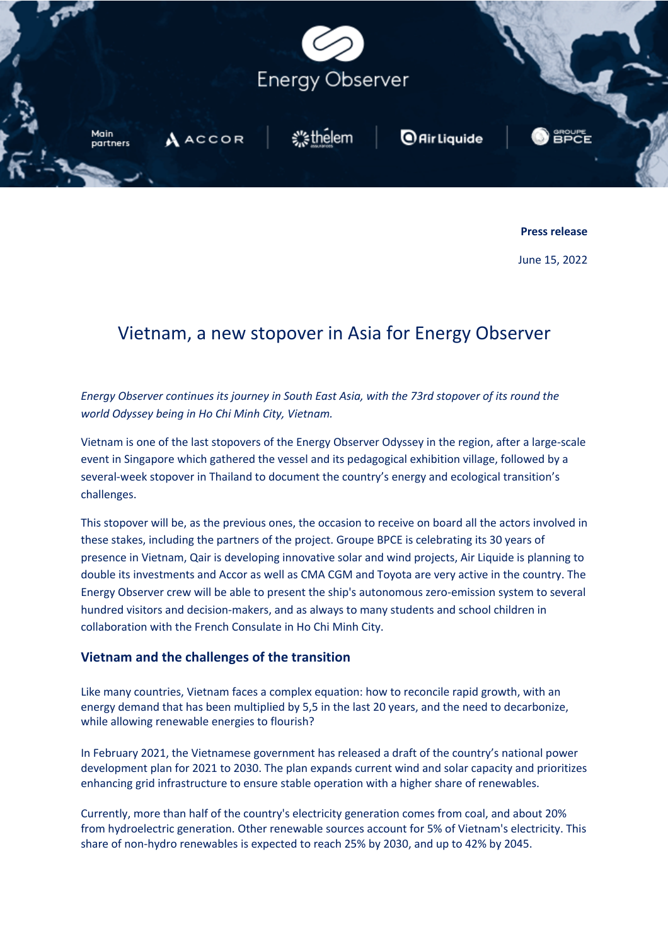

**Press release** 

June 15, 2022

# Vietnam, a new stopover in Asia for Energy Observer

*Energy Observer continues its journey in South East Asia, with the 73rd stopover of its round the world Odyssey being in Ho Chi Minh City, Vietnam.*

Vietnam is one of the last stopovers of the Energy Observer Odyssey in the region, after a large-scale event in Singapore which gathered the vessel and its pedagogical exhibition village, followed by a several-week stopover in Thailand to document the country's energy and ecological transition's challenges.

This stopover will be, as the previous ones, the occasion to receive on board all the actors involved in these stakes, including the partners of the project. Groupe BPCE is celebrating its 30 years of presence in Vietnam, Qair is developing innovative solar and wind projects, Air Liquide is planning to double its investments and Accor as well as CMA CGM and Toyota are very active in the country. The Energy Observer crew will be able to present the ship's autonomous zero-emission system to several hundred visitors and decision-makers, and as always to many students and school children in collaboration with the French Consulate in Ho Chi Minh City.

## **Vietnam and the challenges of the transition**

Like many countries, Vietnam faces a complex equation: how to reconcile rapid growth, with an energy demand that has been multiplied by 5,5 in the last 20 years, and the need to decarbonize, while allowing renewable energies to flourish?

In February 2021, the Vietnamese government has released a draft of the country's national power development plan for 2021 to 2030. The plan expands current wind and solar capacity and prioritizes enhancing grid infrastructure to ensure stable operation with a higher share of renewables.

Currently, more than half of the country's electricity generation comes from coal, and about 20% from hydroelectric generation. Other renewable sources account for 5% of Vietnam's electricity. This share of non-hydro renewables is expected to reach 25% by 2030, and up to 42% by 2045.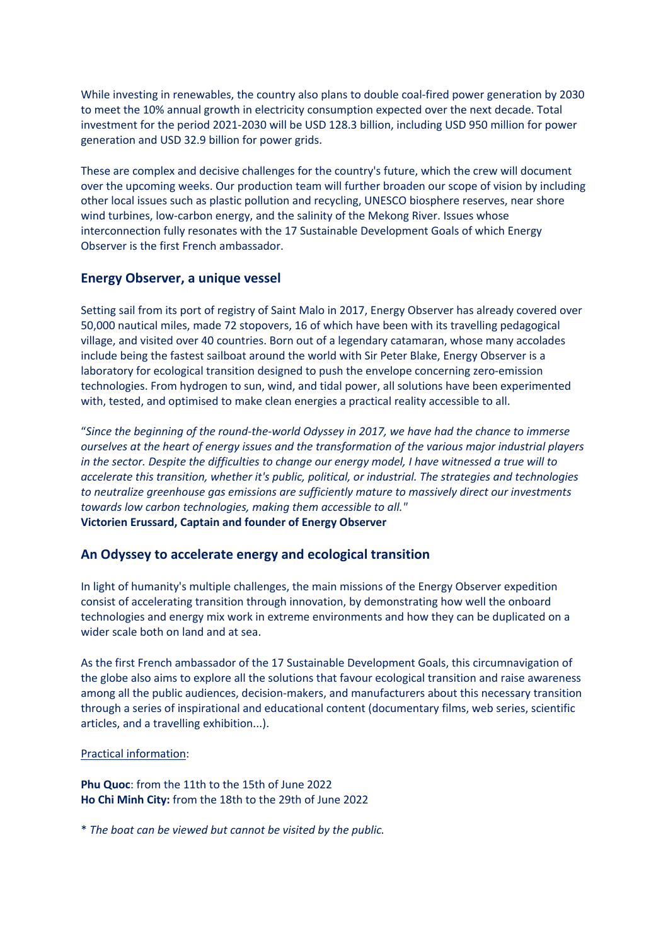While investing in renewables, the country also plans to double coal-fired power generation by 2030 to meet the 10% annual growth in electricity consumption expected over the next decade. Total investment for the period 2021-2030 will be USD 128.3 billion, including USD 950 million for power generation and USD 32.9 billion for power grids.

These are complex and decisive challenges for the country's future, which the crew will document over the upcoming weeks. Our production team will further broaden our scope of vision by including other local issues such as plastic pollution and recycling, UNESCO biosphere reserves, near shore wind turbines, low-carbon energy, and the salinity of the Mekong River. Issues whose interconnection fully resonates with the 17 Sustainable Development Goals of which Energy Observer is the first French ambassador.

# **Energy Observer, a unique vessel**

Setting sail from its port of registry of Saint Malo in 2017, Energy Observer has already covered over 50,000 nautical miles, made 72 stopovers, 16 of which have been with its travelling pedagogical village, and visited over 40 countries. Born out of a legendary catamaran, whose many accolades include being the fastest sailboat around the world with Sir Peter Blake, Energy Observer is a laboratory for ecological transition designed to push the envelope concerning zero-emission technologies. From hydrogen to sun, wind, and tidal power, all solutions have been experimented with, tested, and optimised to make clean energies a practical reality accessible to all.

"*Since the beginning of the round-the-world Odyssey in 2017, we have had the chance to immerse ourselves at the heart of energy issues and the transformation of the various major industrial players in the sector. Despite the difficulties to change our energy model, I have witnessed a true will to accelerate this transition, whether it's public, political, or industrial. The strategies and technologies to neutralize greenhouse gas emissions are sufficiently mature to massively direct our investments towards low carbon technologies, making them accessible to all."* **Victorien Erussard, Captain and founder of Energy Observer**

## **An Odyssey to accelerate energy and ecological transition**

In light of humanity's multiple challenges, the main missions of the Energy Observer expedition consist of accelerating transition through innovation, by demonstrating how well the onboard technologies and energy mix work in extreme environments and how they can be duplicated on a wider scale both on land and at sea.

As the first French ambassador of the 17 Sustainable Development Goals, this circumnavigation of the globe also aims to explore all the solutions that favour ecological transition and raise awareness among all the public audiences, decision-makers, and manufacturers about this necessary transition through a series of inspirational and educational content (documentary films, web series, scientific articles, and a travelling exhibition...).

### Practical information:

**Phu Quoc**: from the 11th to the 15th of June 2022 **Ho Chi Minh City:** from the 18th to the 29th of June 2022

\* *The boat can be viewed but cannot be visited by the public.*